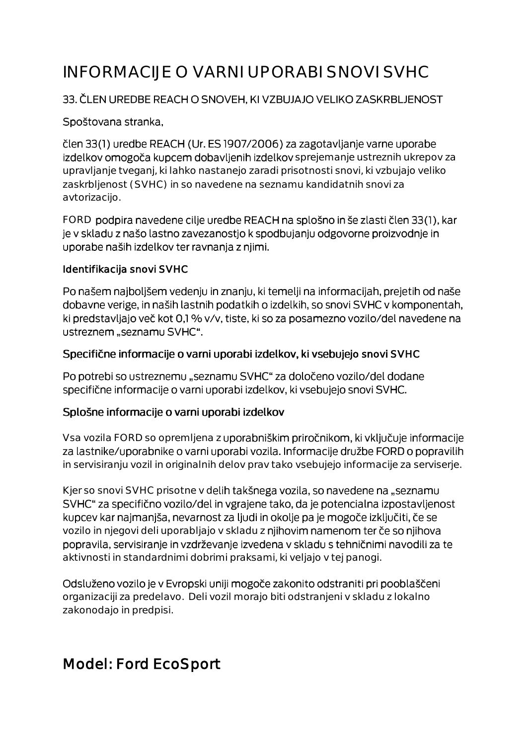# INFORMACIJE O VARNI UPORABI SNOVI SVHC

#### 33. ČLEN UREDBE REACH O SNOVEH, KI VZBUJAJO VELIKO ZASKRBLJENOST

#### Spoštovana stranka,

člen 33(1) uredbe REACH (Ur. ES 1907/2006) za zagotavljanje varne uporabe izdelkov omogoča kupcem dobavljenih izdelkov sprejemanje ustreznih ukrepov za upravljanje tveganj, ki lahko nastanejo zaradi prisotnosti snovi, ki vzbujajo veliko zaskrbljenost (SVHC) in so navedene na seznamu kandidatnih snovi za avtorizacijo.

FORD podpira navedene cilje uredbe REACH na splošno in še zlasti člen 33(1), kar je v skladu z našo lastno zavezanostjo k spodbujanju odgovorne proizvodnje in uporabe naših izdelkov ter ravnanja z njimi.

#### Identifikacija snovi SVHC

Po našem najboljšem vedenju in znanju, ki temelji na informacijah, prejetih od naše dobavne verige, in naših lastnih podatkih o izdelkih, so snovi SVHC v komponentah, ki predstavljajo več kot 0,1 % v/v, tiste, ki so za posamezno vozilo/del navedene na ustreznem "seznamu SVHC".

#### Specifične informacije o varni uporabi izdelkov, ki vsebujejo snovi SVHC

Po potrebi so ustreznemu "seznamu SVHC" za določeno vozilo/del dodane specifične informacije o varni uporabi izdelkov, ki vsebujejo snovi SVHC.

#### Splošne informacije o varni uporabi izdelkov

Vsa vozila FORD so opremljena z uporabniškim priročnikom, ki vključuje informacije za lastnike/uporabnike o varni uporabi vozila. Informacije družbe FORD o popravilih in servisiranju vozil in originalnih delov prav tako vsebujejo informacije za serviserje.

Kjer so snovi SVHC prisotne v delih takšnega vozila, so navedene na "seznamu SVHC" za specifično vozilo/del in vgrajene tako, da je potencialna izpostavljenost kupcev kar najmanjša, nevarnost za ljudi in okolje pa je mogoče izključiti, če se vozilo in njegovi deli uporabljajo v skladu z njihovim namenom ter če so njihova popravila, servisiranje in vzdrževanje izvedena v skladu s tehničnimi navodili za te aktivnosti in standardnimi dobrimi praksami, ki veljajo v tej panogi.

Odsluženo vozilo je v Evropski uniji mogoče zakonito odstraniti pri pooblaščeni organizaciji za predelavo. Deli vozil morajo biti odstranjeni v skladu z lokalno zakonodajo in predpisi.

# Model: Ford EcoSport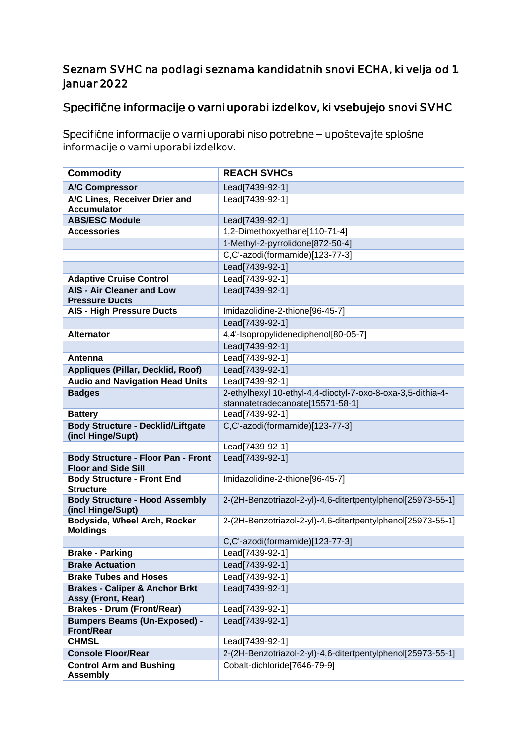### Seznam SVHC na podlagi seznama kandidatnih snovi ECHA, ki velja od 1. januar 2022

## Specifične informacije o varni uporabi izdelkov, ki vsebujejo snovi SVHC

Specifične informacije o varni uporabi niso potrebne - upoštevajte splošne informacije o varni uporabi izdelkov.

| <b>Commodity</b>                                                        | <b>REACH SVHCs</b>                                          |
|-------------------------------------------------------------------------|-------------------------------------------------------------|
| <b>A/C Compressor</b>                                                   | Lead[7439-92-1]                                             |
| A/C Lines, Receiver Drier and                                           | Lead[7439-92-1]                                             |
| <b>Accumulator</b><br><b>ABS/ESC Module</b>                             | Lead[7439-92-1]                                             |
| <b>Accessories</b>                                                      | 1,2-Dimethoxyethane[110-71-4]                               |
|                                                                         | 1-Methyl-2-pyrrolidone[872-50-4]                            |
|                                                                         | C,C'-azodi(formamide)[123-77-3]                             |
|                                                                         | Lead[7439-92-1]                                             |
| <b>Adaptive Cruise Control</b>                                          | Lead[7439-92-1]                                             |
| <b>AIS - Air Cleaner and Low</b>                                        | Lead[7439-92-1]                                             |
| <b>Pressure Ducts</b>                                                   |                                                             |
| <b>AIS - High Pressure Ducts</b>                                        | Imidazolidine-2-thione[96-45-7]                             |
|                                                                         | Lead[7439-92-1]                                             |
| <b>Alternator</b>                                                       | 4,4'-Isopropylidenediphenol[80-05-7]                        |
|                                                                         | Lead[7439-92-1]                                             |
| Antenna                                                                 | Lead[7439-92-1]                                             |
| <b>Appliques (Pillar, Decklid, Roof)</b>                                | Lead[7439-92-1]                                             |
| <b>Audio and Navigation Head Units</b>                                  | Lead[7439-92-1]                                             |
| <b>Badges</b>                                                           | 2-ethylhexyl 10-ethyl-4,4-dioctyl-7-oxo-8-oxa-3,5-dithia-4- |
|                                                                         | stannatetradecanoate[15571-58-1]                            |
| <b>Battery</b>                                                          | Lead[7439-92-1]                                             |
| <b>Body Structure - Decklid/Liftgate</b>                                | C,C'-azodi(formamide)[123-77-3]                             |
| (incl Hinge/Supt)                                                       |                                                             |
|                                                                         | Lead[7439-92-1]                                             |
| <b>Body Structure - Floor Pan - Front</b><br><b>Floor and Side Sill</b> | Lead[7439-92-1]                                             |
| <b>Body Structure - Front End</b>                                       | Imidazolidine-2-thione[96-45-7]                             |
| <b>Structure</b>                                                        |                                                             |
| <b>Body Structure - Hood Assembly</b>                                   | 2-(2H-Benzotriazol-2-yl)-4,6-ditertpentylphenol[25973-55-1] |
| (incl Hinge/Supt)                                                       |                                                             |
| Bodyside, Wheel Arch, Rocker<br><b>Moldings</b>                         | 2-(2H-Benzotriazol-2-yl)-4,6-ditertpentylphenol[25973-55-1] |
|                                                                         | C,C'-azodi(formamide)[123-77-3]                             |
| <b>Brake - Parking</b>                                                  | Lead[7439-92-1]                                             |
| <b>Brake Actuation</b>                                                  | Lead[7439-92-1]                                             |
| <b>Brake Tubes and Hoses</b>                                            | Lead[7439-92-1]                                             |
| <b>Brakes - Caliper &amp; Anchor Brkt</b>                               | Lead[7439-92-1]                                             |
| Assy (Front, Rear)                                                      |                                                             |
| <b>Brakes - Drum (Front/Rear)</b>                                       | Lead[7439-92-1]                                             |
| <b>Bumpers Beams (Un-Exposed) -</b><br><b>Front/Rear</b>                | Lead[7439-92-1]                                             |
| <b>CHMSL</b>                                                            | Lead[7439-92-1]                                             |
| <b>Console Floor/Rear</b>                                               | 2-(2H-Benzotriazol-2-yl)-4,6-ditertpentylphenol[25973-55-1] |
| <b>Control Arm and Bushing</b>                                          | Cobalt-dichloride[7646-79-9]                                |
| <b>Assembly</b>                                                         |                                                             |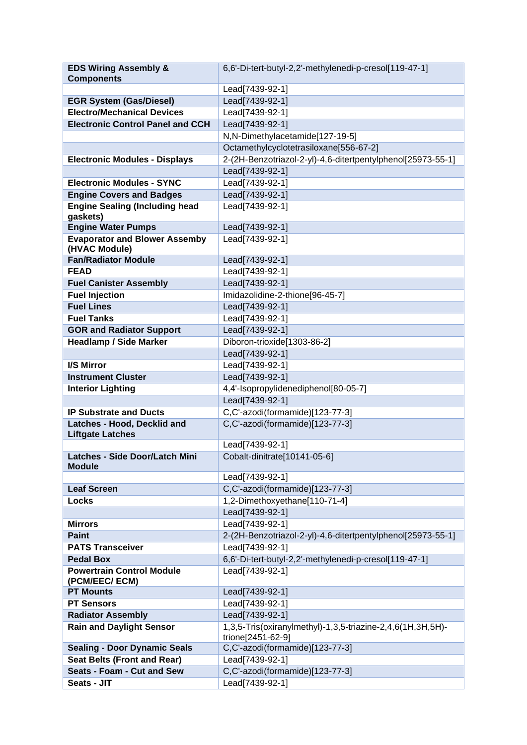| <b>EDS Wiring Assembly &amp;</b>                       | 6,6'-Di-tert-butyl-2,2'-methylenedi-p-cresol[119-47-1]                          |
|--------------------------------------------------------|---------------------------------------------------------------------------------|
| <b>Components</b>                                      |                                                                                 |
|                                                        | Lead[7439-92-1]                                                                 |
| <b>EGR System (Gas/Diesel)</b>                         | Lead[7439-92-1]                                                                 |
| <b>Electro/Mechanical Devices</b>                      | Lead[7439-92-1]                                                                 |
| <b>Electronic Control Panel and CCH</b>                | Lead[7439-92-1]                                                                 |
|                                                        | N,N-Dimethylacetamide[127-19-5]                                                 |
|                                                        | Octamethylcyclotetrasiloxane[556-67-2]                                          |
| <b>Electronic Modules - Displays</b>                   | 2-(2H-Benzotriazol-2-yl)-4,6-ditertpentylphenol[25973-55-1]                     |
|                                                        | Lead[7439-92-1]                                                                 |
| <b>Electronic Modules - SYNC</b>                       | Lead[7439-92-1]                                                                 |
| <b>Engine Covers and Badges</b>                        | Lead[7439-92-1]                                                                 |
| <b>Engine Sealing (Including head</b><br>gaskets)      | Lead[7439-92-1]                                                                 |
| <b>Engine Water Pumps</b>                              | Lead[7439-92-1]                                                                 |
| <b>Evaporator and Blower Assemby</b>                   | Lead[7439-92-1]                                                                 |
| (HVAC Module)                                          |                                                                                 |
| <b>Fan/Radiator Module</b>                             | Lead[7439-92-1]                                                                 |
| <b>FEAD</b>                                            | Lead[7439-92-1]                                                                 |
| <b>Fuel Canister Assembly</b>                          | Lead[7439-92-1]                                                                 |
| <b>Fuel Injection</b>                                  | Imidazolidine-2-thione[96-45-7]                                                 |
| <b>Fuel Lines</b>                                      | Lead[7439-92-1]                                                                 |
| <b>Fuel Tanks</b>                                      | Lead[7439-92-1]                                                                 |
| <b>GOR and Radiator Support</b>                        | Lead[7439-92-1]                                                                 |
| <b>Headlamp / Side Marker</b>                          | Diboron-trioxide[1303-86-2]                                                     |
|                                                        | Lead[7439-92-1]                                                                 |
| I/S Mirror                                             | Lead[7439-92-1]                                                                 |
| <b>Instrument Cluster</b>                              | Lead[7439-92-1]                                                                 |
| <b>Interior Lighting</b>                               | 4,4'-Isopropylidenediphenol[80-05-7]                                            |
|                                                        | Lead[7439-92-1]                                                                 |
| <b>IP Substrate and Ducts</b>                          | C,C'-azodi(formamide)[123-77-3]                                                 |
| Latches - Hood, Decklid and                            | C,C'-azodi(formamide)[123-77-3]                                                 |
| <b>Liftgate Latches</b>                                |                                                                                 |
|                                                        | Lead[7439-92-1]                                                                 |
| <b>Latches - Side Door/Latch Mini</b><br><b>Module</b> | Cobalt-dinitrate[10141-05-6]                                                    |
|                                                        | Lead[7439-92-1]                                                                 |
| <b>Leaf Screen</b>                                     | C,C'-azodi(formamide)[123-77-3]                                                 |
| Locks                                                  | 1,2-Dimethoxyethane[110-71-4]                                                   |
|                                                        | Lead[7439-92-1]                                                                 |
| <b>Mirrors</b>                                         | Lead[7439-92-1]                                                                 |
| <b>Paint</b>                                           | 2-(2H-Benzotriazol-2-yl)-4,6-ditertpentylphenol[25973-55-1]                     |
| <b>PATS Transceiver</b>                                | Lead[7439-92-1]                                                                 |
| <b>Pedal Box</b>                                       | 6,6'-Di-tert-butyl-2,2'-methylenedi-p-cresol[119-47-1]                          |
| <b>Powertrain Control Module</b><br>(PCM/EEC/ ECM)     | Lead[7439-92-1]                                                                 |
| <b>PT Mounts</b>                                       | Lead[7439-92-1]                                                                 |
| <b>PT Sensors</b>                                      | Lead[7439-92-1]                                                                 |
| <b>Radiator Assembly</b>                               | Lead[7439-92-1]                                                                 |
| <b>Rain and Daylight Sensor</b>                        | 1,3,5-Tris(oxiranylmethyl)-1,3,5-triazine-2,4,6(1H,3H,5H)-<br>trione[2451-62-9] |
| <b>Sealing - Door Dynamic Seals</b>                    | C,C'-azodi(formamide)[123-77-3]                                                 |
| <b>Seat Belts (Front and Rear)</b>                     | Lead[7439-92-1]                                                                 |
| <b>Seats - Foam - Cut and Sew</b>                      | C,C'-azodi(formamide)[123-77-3]                                                 |
| Seats - JIT                                            | Lead[7439-92-1]                                                                 |